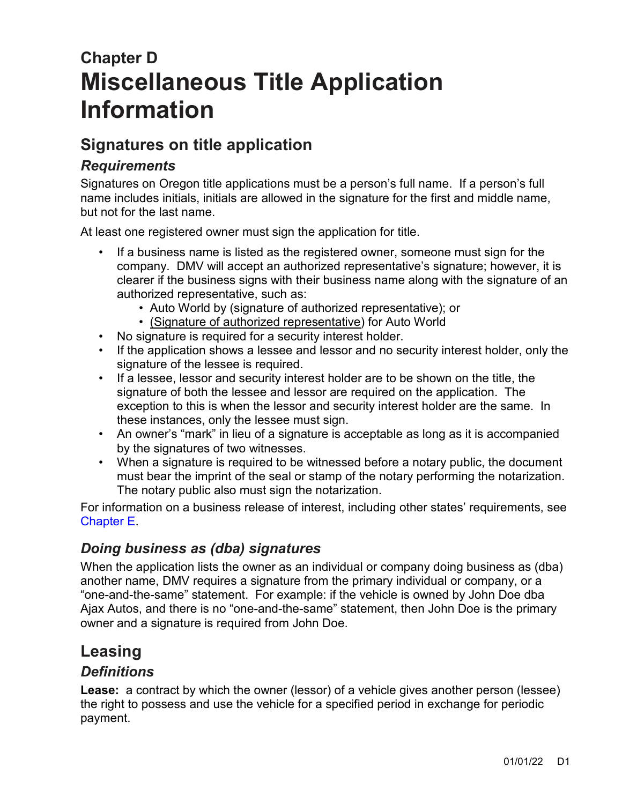# **Chapter D Miscellaneous Title Application Information**

# **Signatures on title application**

# *Requirements*

Signatures on Oregon title applications must be a person's full name. If a person's full name includes initials, initials are allowed in the signature for the first and middle name, but not for the last name.

At least one registered owner must sign the application for title.

- If a business name is listed as the registered owner, someone must sign for the company. DMV will accept an authorized representative's signature; however, it is clearer if the business signs with their business name along with the signature of an authorized representative, such as:
	- Auto World by (signature of authorized representative); or
	- (Signature of authorized representative) for Auto World
- No signature is required for a security interest holder.
- If the application shows a lessee and lessor and no security interest holder, only the signature of the lessee is required.
- If a lessee, lessor and security interest holder are to be shown on the title, the signature of both the lessee and lessor are required on the application. The exception to this is when the lessor and security interest holder are the same. In these instances, only the lessee must sign.
- An owner's "mark" in lieu of a signature is acceptable as long as it is accompanied by the signatures of two witnesses.
- When a signature is required to be witnessed before a notary public, the document must bear the imprint of the seal or stamp of the notary performing the notarization. The notary public also must sign the notarization.

For information on a business release of interest, including other states' requirements, see [Chapter E.](https://www.oregon.gov/ODOT/DMV/docs/VTRH/Chapter_E.pdf)

## *Doing business as (dba) signatures*

When the application lists the owner as an individual or company doing business as (dba) another name, DMV requires a signature from the primary individual or company, or a "one-and-the-same" statement. For example: if the vehicle is owned by John Doe dba Ajax Autos, and there is no "one-and-the-same" statement, then John Doe is the primary owner and a signature is required from John Doe.

# **Leasing**

#### *Definitions*

**Lease:** a contract by which the owner (lessor) of a vehicle gives another person (lessee) the right to possess and use the vehicle for a specified period in exchange for periodic payment.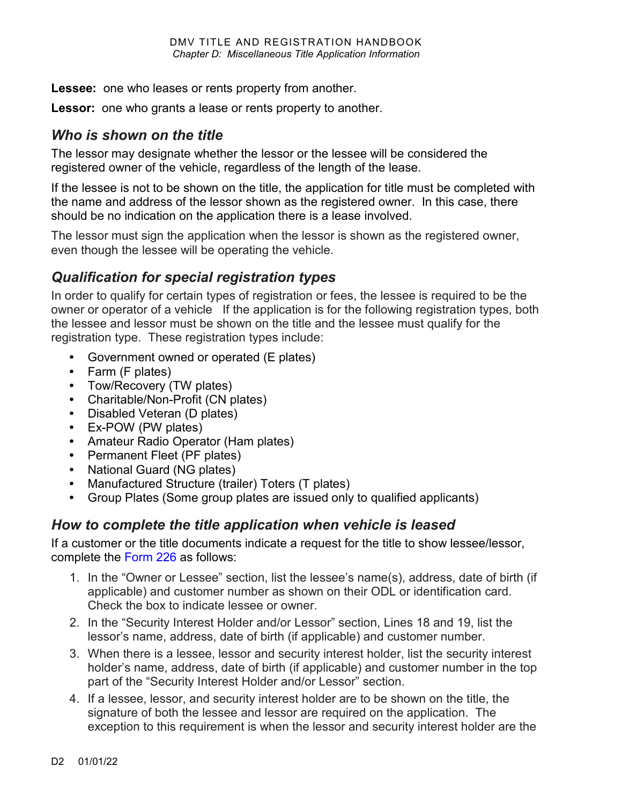**Lessee:** one who leases or rents property from another.

**Lessor:** one who grants a lease or rents property to another.

## *Who is shown on the title*

The lessor may designate whether the lessor or the lessee will be considered the registered owner of the vehicle, regardless of the length of the lease.

If the lessee is not to be shown on the title, the application for title must be completed with the name and address of the lessor shown as the registered owner. In this case, there should be no indication on the application there is a lease involved.

The lessor must sign the application when the lessor is shown as the registered owner, even though the lessee will be operating the vehicle.

# *Qualification for special registration types*

In order to qualify for certain types of registration or fees, the lessee is required to be the owner or operator of a vehicle If the application is for the following registration types, both the lessee and lessor must be shown on the title and the lessee must qualify for the registration type. These registration types include:

- **•** Government owned or operated (E plates)
- **•** Farm (F plates)
- **•** Tow/Recovery (TW plates)
- **•** Charitable/Non-Profit (CN plates)
- **•** Disabled Veteran (D plates)
- **•** Ex-POW (PW plates)
- **•** Amateur Radio Operator (Ham plates)
- **•** Permanent Fleet (PF plates)
- **•** National Guard (NG plates)
- **•** Manufactured Structure (trailer) Toters (T plates)
- **•** Group Plates (Some group plates are issued only to qualified applicants)

## *How to complete the title application when vehicle is leased*

If a customer or the title documents indicate a request for the title to show lessee/lessor, complete the [Form 226](https://www.odot.state.or.us/forms/dmv/226fill.pdf) as follows:

- 1. In the "Owner or Lessee" section, list the lessee's name(s), address, date of birth (if applicable) and customer number as shown on their ODL or identification card. Check the box to indicate lessee or owner.
- 2. In the "Security Interest Holder and/or Lessor" section, Lines 18 and 19, list the lessor's name, address, date of birth (if applicable) and customer number.
- 3. When there is a lessee, lessor and security interest holder, list the security interest holder's name, address, date of birth (if applicable) and customer number in the top part of the "Security Interest Holder and/or Lessor" section.
- 4. If a lessee, lessor, and security interest holder are to be shown on the title, the signature of both the lessee and lessor are required on the application. The exception to this requirement is when the lessor and security interest holder are the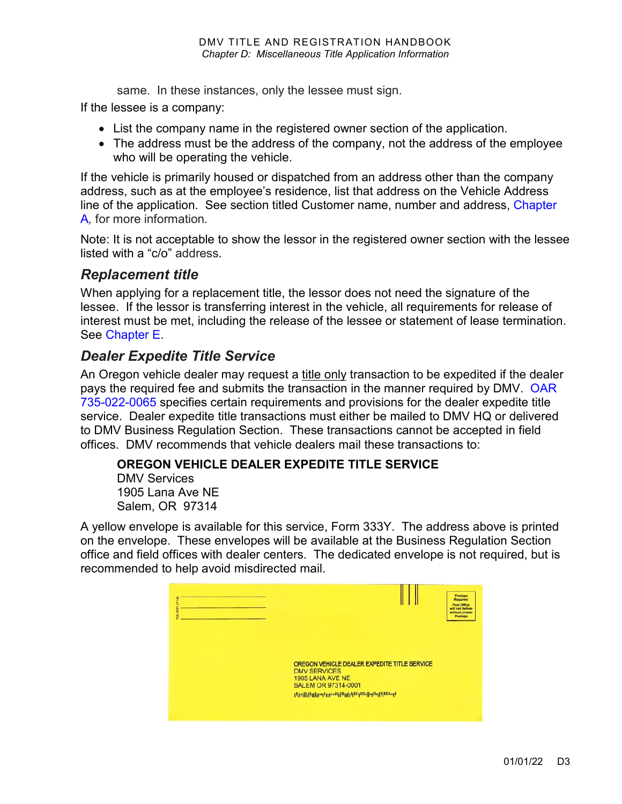same. In these instances, only the lessee must sign.

If the lessee is a company:

- List the company name in the registered owner section of the application.
- The address must be the address of the company, not the address of the employee who will be operating the vehicle.

If the vehicle is primarily housed or dispatched from an address other than the company address, such as at the employee's residence, list that address on the Vehicle Address line of the application. See section titled Customer name, number and address, [Chapter](https://www.oregon.gov/ODOT/DMV/docs/VTRH/Chapter_A.pdf)  [A](https://www.oregon.gov/ODOT/DMV/docs/VTRH/Chapter_A.pdf)*,* for more information*.*

Note: It is not acceptable to show the lessor in the registered owner section with the lessee listed with a "c/o" address.

#### *Replacement title*

When applying for a replacement title, the lessor does not need the signature of the lessee. If the lessor is transferring interest in the vehicle, all requirements for release of interest must be met, including the release of the lessee or statement of lease termination. See [Chapter E.](https://www.oregon.gov/ODOT/DMV/docs/VTRH/Chapter_E.pdf)

#### *Dealer Expedite Title Service*

An Oregon vehicle dealer may request a title only transaction to be expedited if the dealer pays the required fee and submits the transaction in the manner required by DMV. [OAR](https://secure.sos.state.or.us/oard/viewSingleRule.action;JSESSIONID_OARD=9zNUtMXyAXTFilgbX-oYf0rVaycpFQeR2X-muWwo0J6ySGFLNxjK!-486564362?ruleVrsnRsn=184946)  [735-022-0065](https://secure.sos.state.or.us/oard/viewSingleRule.action;JSESSIONID_OARD=9zNUtMXyAXTFilgbX-oYf0rVaycpFQeR2X-muWwo0J6ySGFLNxjK!-486564362?ruleVrsnRsn=184946) specifies certain requirements and provisions for the dealer expedite title service. Dealer expedite title transactions must either be mailed to DMV HQ or delivered to DMV Business Regulation Section. These transactions cannot be accepted in field offices. DMV recommends that vehicle dealers mail these transactions to:

#### **OREGON VEHICLE DEALER EXPEDITE TITLE SERVICE**

DMV Services 1905 Lana Ave NE Salem, OR 97314

A yellow envelope is available for this service, Form 333Y. The address above is printed on the envelope. These envelopes will be available at the Business Regulation Section office and field offices with dealer centers. The dedicated envelope is not required, but is recommended to help avoid misdirected mail.

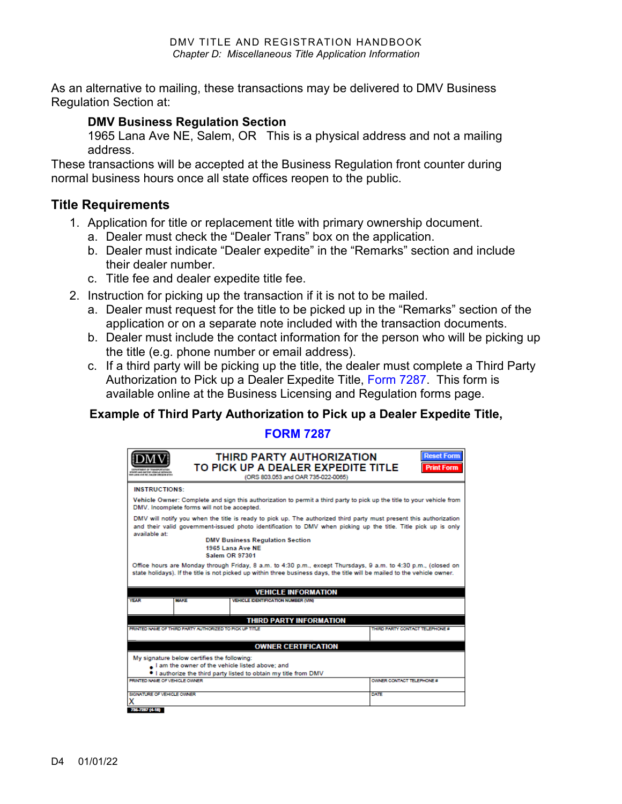As an alternative to mailing, these transactions may be delivered to DMV Business Regulation Section at:

#### **DMV Business Regulation Section**

1965 Lana Ave NE, Salem, OR This is a physical address and not a mailing address.

These transactions will be accepted at the Business Regulation front counter during normal business hours once all state offices reopen to the public.

#### **Title Requirements**

- 1. Application for title or replacement title with primary ownership document.
	- a. Dealer must check the "Dealer Trans" box on the application.
	- b. Dealer must indicate "Dealer expedite" in the "Remarks" section and include their dealer number.
	- c. Title fee and dealer expedite title fee.
- 2. Instruction for picking up the transaction if it is not to be mailed.
	- a. Dealer must request for the title to be picked up in the "Remarks" section of the application or on a separate note included with the transaction documents.
	- b. Dealer must include the contact information for the person who will be picking up the title (e.g. phone number or email address).
	- c. If a third party will be picking up the title, the dealer must complete a Third Party Authorization to Pick up a Dealer Expedite Title, [Form 7287.](https://www.oregon.gov/ODOT/Forms/DMV/7287fill.pdf) This form is available online at the Business Licensing and Regulation forms page.

#### **Example of Third Party Authorization to Pick up a Dealer Expedite Title,**

#### **[FORM 7287](https://www.oregon.gov/ODOT/Forms/DMV/7287fill.pdf)**

| MO METOR VEHICLE GRANDS                                                                                                                                                                                                                                                                         |                                                         | THIRD PARTY AUTHORIZATION<br>TO PICK UP A DEALER EXPEDITE TITLE<br>(ORS 803.053 and OAR 735-022-0065) | <b>Reset Form</b><br><b>Print Form</b> |  |  |  |
|-------------------------------------------------------------------------------------------------------------------------------------------------------------------------------------------------------------------------------------------------------------------------------------------------|---------------------------------------------------------|-------------------------------------------------------------------------------------------------------|----------------------------------------|--|--|--|
| <b>INSTRUCTIONS:</b>                                                                                                                                                                                                                                                                            |                                                         |                                                                                                       |                                        |  |  |  |
| Vehicle Owner: Complete and sign this authorization to permit a third party to pick up the title to your vehicle from<br>DMV. Incomplete forms will not be accepted.                                                                                                                            |                                                         |                                                                                                       |                                        |  |  |  |
| DMV will notify you when the title is ready to pick up. The authorized third party must present this authorization<br>and their valid government-issued photo identification to DMV when picking up the title. Title pick up is only<br>available at:<br><b>DMV Business Regulation Section</b> |                                                         |                                                                                                       |                                        |  |  |  |
|                                                                                                                                                                                                                                                                                                 | 1965 Lana Ave NF<br>Salem OR 97301                      |                                                                                                       |                                        |  |  |  |
| Office hours are Monday through Friday, 8 a.m. to 4:30 p.m., except Thursdays, 9 a.m. to 4:30 p.m., (closed on<br>state holidays). If the title is not picked up within three business days, the title will be mailed to the vehicle owner.                                                     |                                                         |                                                                                                       |                                        |  |  |  |
|                                                                                                                                                                                                                                                                                                 |                                                         | <b>VEHICLE INFORMATION</b>                                                                            |                                        |  |  |  |
| <b>YEAR</b>                                                                                                                                                                                                                                                                                     | <b>MAKE</b>                                             | <b>VEHICLE IDENTIFICATION NUMBER (VIN)</b>                                                            |                                        |  |  |  |
|                                                                                                                                                                                                                                                                                                 |                                                         | <b>THIRD PARTY INFORMATION</b>                                                                        |                                        |  |  |  |
|                                                                                                                                                                                                                                                                                                 | PRINTED NAME OF THIRD PARTY AUTHORIZED TO PICK UP TITLE |                                                                                                       | THIRD PARTY CONTACT TELEPHONE #        |  |  |  |
|                                                                                                                                                                                                                                                                                                 |                                                         | <b>OWNER CERTIFICATION</b>                                                                            |                                        |  |  |  |
| My signature below certifies the following:<br>I am the owner of the vehicle listed above; and                                                                                                                                                                                                  |                                                         |                                                                                                       |                                        |  |  |  |
| PRINTED NAME OF VEHICLE OWNER.                                                                                                                                                                                                                                                                  |                                                         | . I authorize the third party listed to obtain my title from DMV                                      | OWNER CONTACT TELEPHONE #              |  |  |  |
|                                                                                                                                                                                                                                                                                                 |                                                         |                                                                                                       |                                        |  |  |  |
| SIGNATURE OF VEHICLE OWNER.                                                                                                                                                                                                                                                                     |                                                         |                                                                                                       | <b>DATE</b>                            |  |  |  |
| 736-7287 (4-18)                                                                                                                                                                                                                                                                                 |                                                         |                                                                                                       |                                        |  |  |  |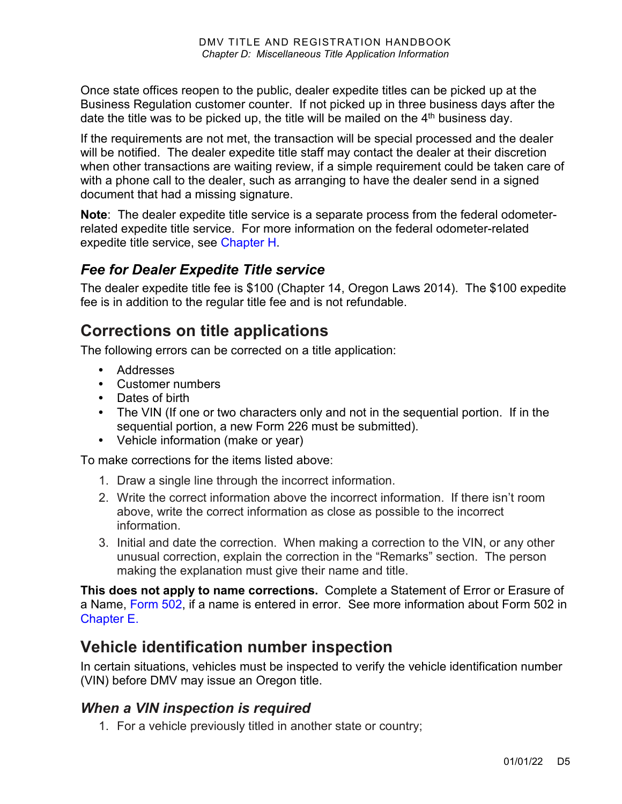Once state offices reopen to the public, dealer expedite titles can be picked up at the Business Regulation customer counter. If not picked up in three business days after the date the title was to be picked up, the title will be mailed on the  $4<sup>th</sup>$  business day.

If the requirements are not met, the transaction will be special processed and the dealer will be notified. The dealer expedite title staff may contact the dealer at their discretion when other transactions are waiting review, if a simple requirement could be taken care of with a phone call to the dealer, such as arranging to have the dealer send in a signed document that had a missing signature.

**Note**: The dealer expedite title service is a separate process from the federal odometerrelated expedite title service. For more information on the federal odometer-related expedite title service, see [Chapter H.](https://www.oregon.gov/ODOT/DMV/docs/vtrh/chapter_h.pdf)

#### *Fee for Dealer Expedite Title service*

The dealer expedite title fee is \$100 (Chapter 14, Oregon Laws 2014). The \$100 expedite fee is in addition to the regular title fee and is not refundable.

# **Corrections on title applications**

The following errors can be corrected on a title application:

- **•** Addresses
- **•** Customer numbers
- **•** Dates of birth
- **•** The VIN (If one or two characters only and not in the sequential portion. If in the sequential portion, a new Form 226 must be submitted).
- **•** Vehicle information (make or year)

To make corrections for the items listed above:

- 1. Draw a single line through the incorrect information.
- 2. Write the correct information above the incorrect information. If there isn't room above, write the correct information as close as possible to the incorrect information.
- 3. Initial and date the correction. When making a correction to the VIN, or any other unusual correction, explain the correction in the "Remarks" section. The person making the explanation must give their name and title.

**This does not apply to name corrections.** Complete a Statement of Error or Erasure of a Name, [Form 502,](https://www.odot.state.or.us/forms/dmv/502fill.pdf) if a name is entered in error. See more information about Form 502 in [Chapter E.](https://www.oregon.gov/ODOT/DMV/docs/VTRH/Chapter_E.pdf)

# **Vehicle identification number inspection**

In certain situations, vehicles must be inspected to verify the vehicle identification number (VIN) before DMV may issue an Oregon title.

## <span id="page-4-0"></span>*When a VIN inspection is required*

1. For a vehicle previously titled in another state or country;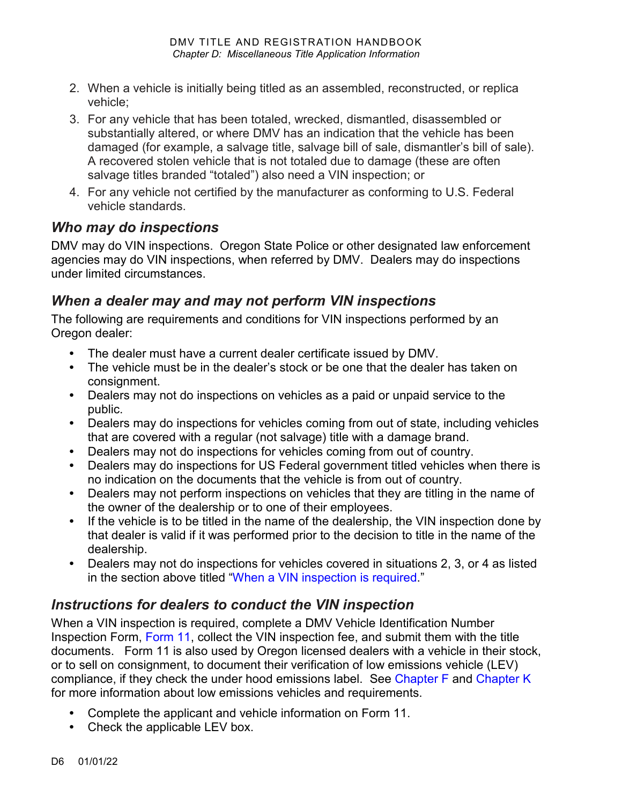- 2. When a vehicle is initially being titled as an assembled, reconstructed, or replica vehicle;
- 3. For any vehicle that has been totaled, wrecked, dismantled, disassembled or substantially altered, or where DMV has an indication that the vehicle has been damaged (for example, a salvage title, salvage bill of sale, dismantler's bill of sale). A recovered stolen vehicle that is not totaled due to damage (these are often salvage titles branded "totaled") also need a VIN inspection; or
- 4. For any vehicle not certified by the manufacturer as conforming to U.S. Federal vehicle standards.

## *Who may do inspections*

DMV may do VIN inspections. Oregon State Police or other designated law enforcement agencies may do VIN inspections, when referred by DMV. Dealers may do inspections under limited circumstances.

## *When a dealer may and may not perform VIN inspections*

The following are requirements and conditions for VIN inspections performed by an Oregon dealer:

- **•** The dealer must have a current dealer certificate issued by DMV.
- **•** The vehicle must be in the dealer's stock or be one that the dealer has taken on consignment.
- **•** Dealers may not do inspections on vehicles as a paid or unpaid service to the public.
- **•** Dealers may do inspections for vehicles coming from out of state, including vehicles that are covered with a regular (not salvage) title with a damage brand.
- **•** Dealers may not do inspections for vehicles coming from out of country.
- **•** Dealers may do inspections for US Federal government titled vehicles when there is no indication on the documents that the vehicle is from out of country.
- **•** Dealers may not perform inspections on vehicles that they are titling in the name of the owner of the dealership or to one of their employees.
- **•** If the vehicle is to be titled in the name of the dealership, the VIN inspection done by that dealer is valid if it was performed prior to the decision to title in the name of the dealership.
- **•** Dealers may not do inspections for vehicles covered in situations 2, 3, or 4 as listed in the section above titled ["When a VIN inspection is required.](#page-4-0)"

# *Instructions for dealers to conduct the VIN inspection*

When a VIN inspection is required, complete a DMV Vehicle Identification Number Inspection Form, [Form 11,](https://www.oregon.gov/ODOT/Forms/DMV/11fill.pdf) collect the VIN inspection fee, and submit them with the title documents. Form 11 is also used by Oregon licensed dealers with a vehicle in their stock, or to sell on consignment, to document their verification of low emissions vehicle (LEV) compliance, if they check the under hood emissions label. See [Chapter F](https://www.oregon.gov/ODOT/DMV/docs/VTRH/Chapter_F.pdf) and [Chapter K](https://www.oregon.gov/ODOT/DMV/docs/VTRH/Chapter_K.pdf) for more information about low emissions vehicles and requirements.

- **•** Complete the applicant and vehicle information on Form 11.
- **•** Check the applicable LEV box.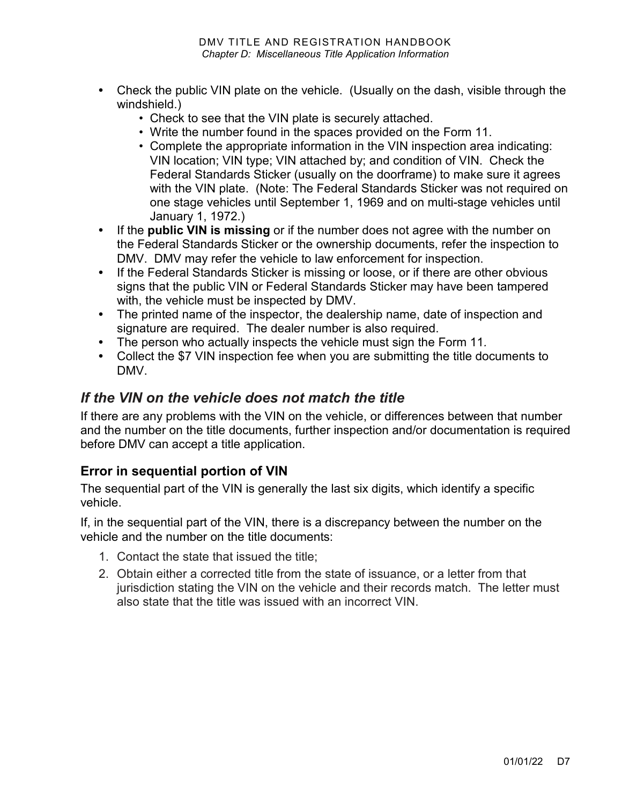- **•** Check the public VIN plate on the vehicle. (Usually on the dash, visible through the windshield.)
	- Check to see that the VIN plate is securely attached.
	- Write the number found in the spaces provided on the Form 11.
	- Complete the appropriate information in the VIN inspection area indicating: VIN location; VIN type; VIN attached by; and condition of VIN. Check the Federal Standards Sticker (usually on the doorframe) to make sure it agrees with the VIN plate. (Note: The Federal Standards Sticker was not required on one stage vehicles until September 1, 1969 and on multi-stage vehicles until January 1, 1972.)
- **•** If the **public VIN is missing** or if the number does not agree with the number on the Federal Standards Sticker or the ownership documents, refer the inspection to DMV. DMV may refer the vehicle to law enforcement for inspection.
- **•** If the Federal Standards Sticker is missing or loose, or if there are other obvious signs that the public VIN or Federal Standards Sticker may have been tampered with, the vehicle must be inspected by DMV.
- **•** The printed name of the inspector, the dealership name, date of inspection and signature are required. The dealer number is also required.
- **•** The person who actually inspects the vehicle must sign the Form 11*.*
- **•** Collect the \$7 VIN inspection fee when you are submitting the title documents to DMV.

#### *If the VIN on the vehicle does not match the title*

If there are any problems with the VIN on the vehicle, or differences between that number and the number on the title documents, further inspection and/or documentation is required before DMV can accept a title application.

#### **Error in sequential portion of VIN**

The sequential part of the VIN is generally the last six digits, which identify a specific vehicle.

If, in the sequential part of the VIN, there is a discrepancy between the number on the vehicle and the number on the title documents:

- 1. Contact the state that issued the title;
- 2. Obtain either a corrected title from the state of issuance, or a letter from that jurisdiction stating the VIN on the vehicle and their records match. The letter must also state that the title was issued with an incorrect VIN.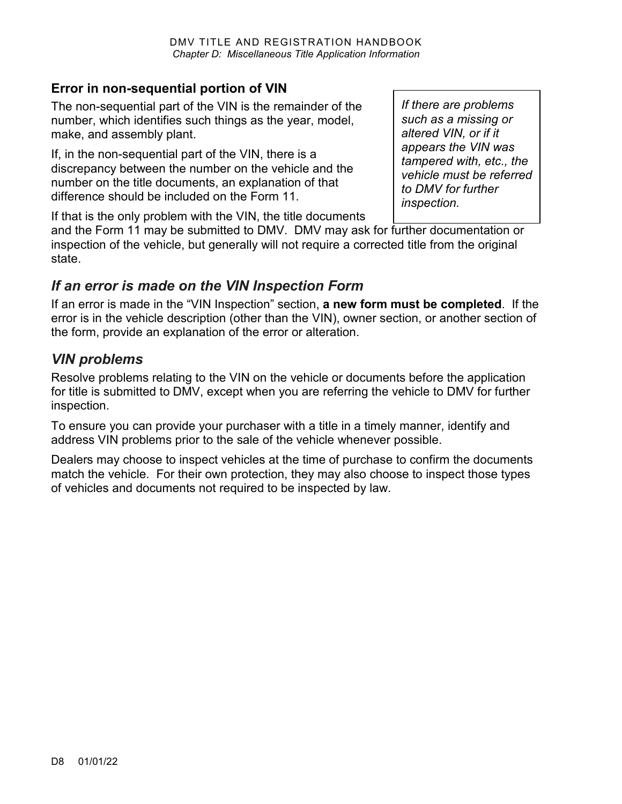#### **Error in non-sequential portion of VIN**

The non-sequential part of the VIN is the remainder of the number, which identifies such things as the year, model, make, and assembly plant.

If, in the non-sequential part of the VIN, there is a discrepancy between the number on the vehicle and the number on the title documents, an explanation of that difference should be included on the Form 11.

*If there are problems such as a missing or altered VIN, or if it appears the VIN was tampered with, etc., the vehicle must be referred to DMV for further inspection.*

If that is the only problem with the VIN, the title documents

and the Form 11 may be submitted to DMV. DMV may ask for further documentation or inspection of the vehicle, but generally will not require a corrected title from the original state.

## *If an error is made on the VIN Inspection Form*

If an error is made in the "VIN Inspection" section, **a new form must be completed**. If the error is in the vehicle description (other than the VIN), owner section, or another section of the form, provide an explanation of the error or alteration.

## *VIN problems*

Resolve problems relating to the VIN on the vehicle or documents before the application for title is submitted to DMV, except when you are referring the vehicle to DMV for further inspection.

To ensure you can provide your purchaser with a title in a timely manner, identify and address VIN problems prior to the sale of the vehicle whenever possible.

Dealers may choose to inspect vehicles at the time of purchase to confirm the documents match the vehicle. For their own protection, they may also choose to inspect those types of vehicles and documents not required to be inspected by law.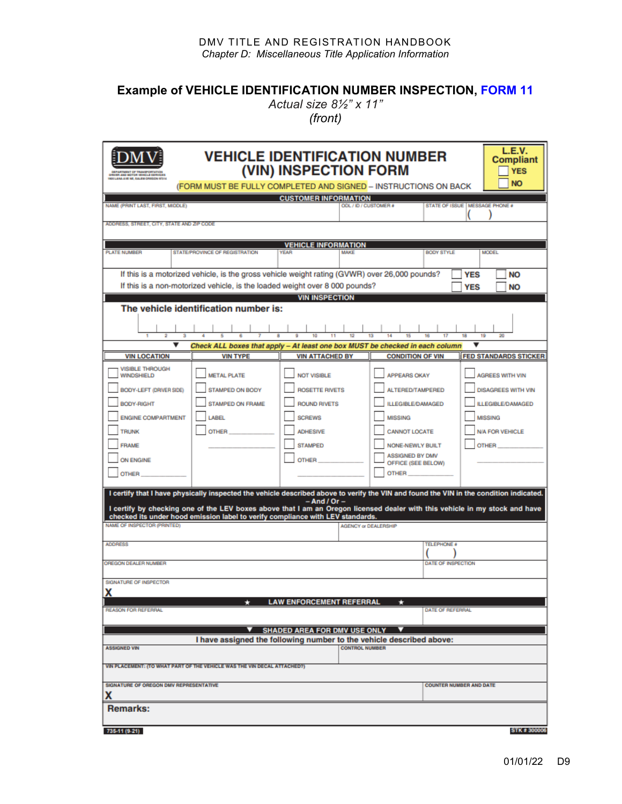#### **Example of VEHICLE IDENTIFICATION NUMBER INSPECTION, [FORM 11](https://www.oregon.gov/ODOT/Forms/DMV/11fill.pdf)**

*Actual size 8½" x 11" (front)*

| <b>1905 LANA AVE NE, SALEM OREGON 67316</b>                                                                                                                                                                                                                    |                                                                                    | <b>VEHICLE IDENTIFICATION NUMBER</b><br>(VIN) INSPECTION FORM                                                                                                                                                                                  | (FORM MUST BE FULLY COMPLETED AND SIGNED - INSTRUCTIONS ON BACK                                                                                                                                                                                                                                                                                                                                                                                                                                                                                       | L.E.V.<br><b>Compliant</b><br><b>YES</b><br><b>NO</b>                                                                                      |
|----------------------------------------------------------------------------------------------------------------------------------------------------------------------------------------------------------------------------------------------------------------|------------------------------------------------------------------------------------|------------------------------------------------------------------------------------------------------------------------------------------------------------------------------------------------------------------------------------------------|-------------------------------------------------------------------------------------------------------------------------------------------------------------------------------------------------------------------------------------------------------------------------------------------------------------------------------------------------------------------------------------------------------------------------------------------------------------------------------------------------------------------------------------------------------|--------------------------------------------------------------------------------------------------------------------------------------------|
| NAME (PRINT LAST, FIRST, MIDDLE)                                                                                                                                                                                                                               |                                                                                    | <b>CUSTOMER INFORMATION</b>                                                                                                                                                                                                                    | ODL / ID / CUSTOMER #                                                                                                                                                                                                                                                                                                                                                                                                                                                                                                                                 | STATE OF ISSUE   MESSAGE PHONE #                                                                                                           |
| ADDRESS, STREET, CITY, STATE AND ZIP CODE                                                                                                                                                                                                                      |                                                                                    |                                                                                                                                                                                                                                                |                                                                                                                                                                                                                                                                                                                                                                                                                                                                                                                                                       |                                                                                                                                            |
|                                                                                                                                                                                                                                                                |                                                                                    |                                                                                                                                                                                                                                                |                                                                                                                                                                                                                                                                                                                                                                                                                                                                                                                                                       |                                                                                                                                            |
| <b>PLATE NUMBER</b>                                                                                                                                                                                                                                            | <b>STATE/PROVINCE OF REGISTRATION</b>                                              | <b>VEHICLE INFORMATION</b><br><b>VEAR</b><br><b>MAKE</b>                                                                                                                                                                                       | <b>BODY STYLE</b>                                                                                                                                                                                                                                                                                                                                                                                                                                                                                                                                     | <b>MODEL</b>                                                                                                                               |
|                                                                                                                                                                                                                                                                |                                                                                    | If this is a motorized vehicle, is the gross vehicle weight rating (GVWR) over 26,000 pounds?<br>If this is a non-motorized vehicle, is the loaded weight over 8 000 pounds?                                                                   |                                                                                                                                                                                                                                                                                                                                                                                                                                                                                                                                                       | <b>YES</b><br><b>NO</b>                                                                                                                    |
|                                                                                                                                                                                                                                                                |                                                                                    | <b>VIN INSPECTION</b>                                                                                                                                                                                                                          |                                                                                                                                                                                                                                                                                                                                                                                                                                                                                                                                                       | <b>YES</b><br><b>NO</b>                                                                                                                    |
|                                                                                                                                                                                                                                                                | The vehicle identification number is:                                              |                                                                                                                                                                                                                                                |                                                                                                                                                                                                                                                                                                                                                                                                                                                                                                                                                       |                                                                                                                                            |
| $\overline{2}$                                                                                                                                                                                                                                                 |                                                                                    |                                                                                                                                                                                                                                                |                                                                                                                                                                                                                                                                                                                                                                                                                                                                                                                                                       | 19<br>20                                                                                                                                   |
| $\overline{\mathbf{v}}$                                                                                                                                                                                                                                        |                                                                                    |                                                                                                                                                                                                                                                | Check ALL boxes that apply - At least one box MUST be checked in each column                                                                                                                                                                                                                                                                                                                                                                                                                                                                          | v                                                                                                                                          |
| <b>VIN LOCATION</b><br><b>VISIBLE THROUGH</b>                                                                                                                                                                                                                  | <b>VIN TYPE</b>                                                                    | <b>VIN ATTACHED BY</b>                                                                                                                                                                                                                         | <b>CONDITION OF VIN</b>                                                                                                                                                                                                                                                                                                                                                                                                                                                                                                                               | <b>FED STANDARDS STICKER</b>                                                                                                               |
| <b>WINDSHIELD</b><br>BODY-LEFT (DRIVER SIDE)<br><b>BODY-RIGHT</b><br><b>ENGINE COMPARTMENT</b><br><b>TRUNK</b><br><b>FRAME</b><br>ON ENGINE<br><b>OTHER</b><br>NAME OF INSPECTOR (PRINTED)<br><b>ADDRESS</b><br>OREGON DEALER NUMBER<br>SIGNATURE OF INSPECTOR | <b>METAL PLATE</b><br>STAMPED ON BODY<br>STAMPED ON FRAME<br>LABEL<br><b>OTHER</b> | <b>NOT VISIBLE</b><br><b>ROSETTE RIVETS</b><br><b>ROUND RIVETS</b><br><b>SCREWS</b><br><b>ADHESIVE</b><br><b>STAMPED</b><br><b>OTHER</b><br>$-$ And / Or $-$<br>checked its under hood emission label to verify compliance with LEV standards. | <b>APPEARS OKAY</b><br>ALTERED/TAMPERED<br><b>ILLEGIBLE/DAMAGED</b><br><b>MISSING</b><br><b>CANNOT LOCATE</b><br><b>NONE-NEWLY BUILT</b><br>ASSIGNED BY DMV<br>OFFICE (SEE BELOW)<br><b>OTHER</b><br>I certify that I have physically inspected the vehicle described above to verify the VIN and found the VIN in the condition indicated.<br>I certify by checking one of the LEV boxes above that I am an Oregon licensed dealer with this vehicle in my stock and have<br><b>AGENCY or DEALERSHIP</b><br><b>TELEPHONE #</b><br>DATE OF INSPECTION | <b>AGREES WITH VIN</b><br><b>DISAGREES WITH VIN</b><br><b>LLEGIBLE/DAMAGED</b><br><b>MISSING</b><br><b>N/A FOR VEHICLE</b><br><b>OTHER</b> |
| x                                                                                                                                                                                                                                                              |                                                                                    |                                                                                                                                                                                                                                                |                                                                                                                                                                                                                                                                                                                                                                                                                                                                                                                                                       |                                                                                                                                            |
| <b>REASON FOR REFERRAL</b>                                                                                                                                                                                                                                     |                                                                                    | <b>LAW ENFORCEMENT REFERRAL</b>                                                                                                                                                                                                                | ÷<br>DATE OF REFERRAL                                                                                                                                                                                                                                                                                                                                                                                                                                                                                                                                 |                                                                                                                                            |
|                                                                                                                                                                                                                                                                |                                                                                    |                                                                                                                                                                                                                                                |                                                                                                                                                                                                                                                                                                                                                                                                                                                                                                                                                       |                                                                                                                                            |
|                                                                                                                                                                                                                                                                |                                                                                    | SHADED AREA FOR DMV USE ONLY ▼<br>I have assigned the following number to the vehicle described above:                                                                                                                                         |                                                                                                                                                                                                                                                                                                                                                                                                                                                                                                                                                       |                                                                                                                                            |
| <b>ASSIGNED VIN</b>                                                                                                                                                                                                                                            |                                                                                    | <b>CONTROL NUMBER</b>                                                                                                                                                                                                                          |                                                                                                                                                                                                                                                                                                                                                                                                                                                                                                                                                       |                                                                                                                                            |
| VIN PLACEMENT: (TO WHAT PART OF THE VEHICLE WAS THE VIN DECAL ATTACHED?)                                                                                                                                                                                       |                                                                                    |                                                                                                                                                                                                                                                |                                                                                                                                                                                                                                                                                                                                                                                                                                                                                                                                                       |                                                                                                                                            |
| <b>SIGNATURE OF OREGON DMV REPRESENTATIVE</b><br>х                                                                                                                                                                                                             |                                                                                    |                                                                                                                                                                                                                                                |                                                                                                                                                                                                                                                                                                                                                                                                                                                                                                                                                       | <b>COUNTER NUMBER AND DATE</b>                                                                                                             |
| <b>Remarks:</b>                                                                                                                                                                                                                                                |                                                                                    |                                                                                                                                                                                                                                                |                                                                                                                                                                                                                                                                                                                                                                                                                                                                                                                                                       |                                                                                                                                            |
| 735-11 (9-21)                                                                                                                                                                                                                                                  |                                                                                    |                                                                                                                                                                                                                                                |                                                                                                                                                                                                                                                                                                                                                                                                                                                                                                                                                       | <b>STK # 300006</b>                                                                                                                        |